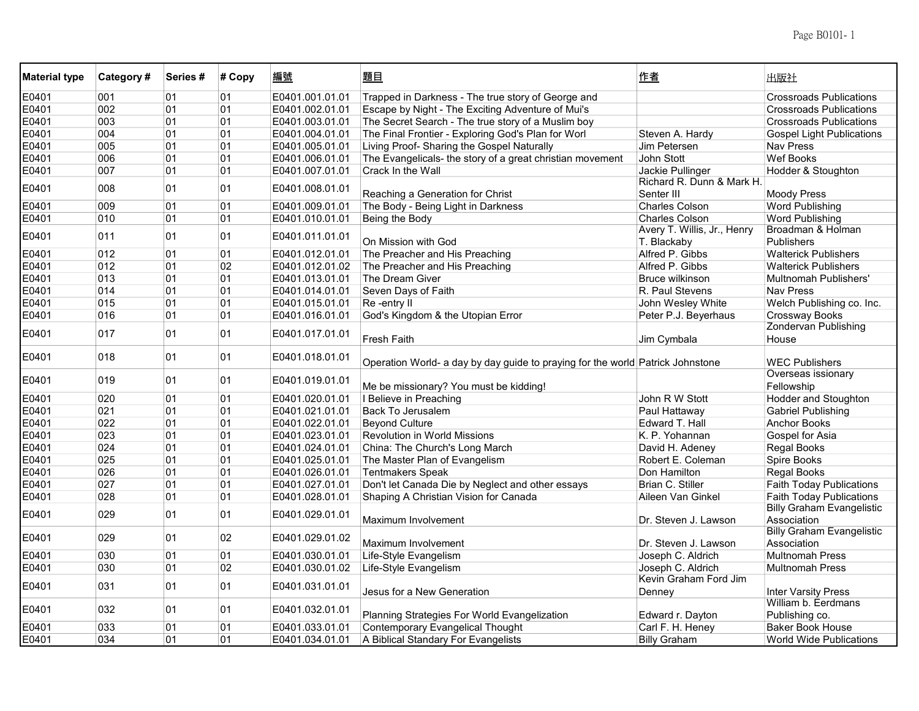| Trapped in Darkness - The true story of George and<br>E0401<br>001<br>01<br>01<br>E0401.001.01.01<br><b>Crossroads Publications</b><br>E0401<br>002<br>01<br>01<br>Escape by Night - The Exciting Adventure of Mui's<br>E0401.002.01.01<br><b>Crossroads Publications</b><br>E0401<br>003<br>01<br>01<br>The Secret Search - The true story of a Muslim boy<br>E0401.003.01.01<br><b>Crossroads Publications</b><br>004<br>01<br>01<br>E0401<br>E0401.004.01.01<br>The Final Frontier - Exploring God's Plan for Worl<br>Steven A. Hardy<br><b>Gospel Light Publications</b><br>E0401<br>005<br>01<br>01<br>E0401.005.01.01<br>Living Proof- Sharing the Gospel Naturally<br>Jim Petersen<br><b>Nav Press</b><br>006<br>01<br>01<br>E0401.006.01.01<br>The Evangelicals- the story of a great christian movement<br>John Stott<br><b>Wef Books</b><br>E0401<br>E0401<br>007<br>01<br>01<br>E0401.007.01.01<br><b>Crack In the Wall</b><br>Hodder & Stoughton<br>Jackie Pullinger<br>Richard R. Dunn & Mark H<br>008<br>01<br>01<br>E0401<br>E0401.008.01.01<br>Reaching a Generation for Christ<br>Senter III<br>Moody Press<br>009<br>01<br>The Body - Being Light in Darkness<br><b>Word Publishing</b><br>E0401<br>01<br>E0401.009.01.01<br><b>Charles Colson</b><br>010<br>01<br>01<br><b>Word Publishing</b><br>E0401<br>E0401.010.01.01<br>Being the Body<br><b>Charles Colson</b><br>Avery T. Willis, Jr., Henry<br>Broadman & Holman<br>01<br>011<br>01<br>E0401<br>E0401.011.01.01<br>On Mission with God<br>T. Blackaby<br><b>Publishers</b><br>E0401<br>012<br>01<br>01<br>The Preacher and His Preaching<br>Alfred P. Gibbs<br><b>Walterick Publishers</b><br>E0401.012.01.01<br>02<br>E0401<br>012<br>01<br>E0401.012.01.02<br>The Preacher and His Preaching<br>Alfred P. Gibbs<br><b>Walterick Publishers</b><br>E0401<br>013<br>01<br>01<br>E0401.013.01.01<br>The Dream Giver<br>Bruce wilkinson<br>Multnomah Publishers'<br>E0401<br>014<br>01<br>01<br>Seven Days of Faith<br>R. Paul Stevens<br><b>Nav Press</b><br>E0401.014.01.01<br>015<br>01<br>E0401<br>01<br>E0401.015.01.01<br>Re-entry II<br>John Wesley White<br>Welch Publishing co. Inc.<br>E0401<br>016<br>01<br>01<br>E0401.016.01.01<br>God's Kingdom & the Utopian Error<br>Peter P.J. Beyerhaus<br>Crossway Books<br><b>Zondervan Publishing</b><br>017<br>01<br>01<br>E0401<br>E0401.017.01.01<br><b>Fresh Faith</b><br>Jim Cymbala<br>House<br>018<br>01<br>01<br>E0401<br>E0401.018.01.01<br>Operation World- a day by day guide to praying for the world Patrick Johnstone<br><b>WEC Publishers</b><br>Overseas issionary<br>01<br>01<br>E0401<br>019<br>E0401.019.01.01<br>Me be missionary? You must be kidding!<br>Fellowship<br>E0401<br>020<br>01<br>01<br>E0401.020.01.01<br>I Believe in Preaching<br>John R W Stott<br><b>Hodder and Stoughton</b><br>021<br>01<br>E0401<br>01<br><b>Back To Jerusalem</b><br>Paul Hattaway<br><b>Gabriel Publishing</b><br>E0401.021.01.01<br>E0401<br>022<br>01<br>01<br><b>Beyond Culture</b><br>E0401.022.01.01<br>Edward T. Hall<br><b>Anchor Books</b><br>E0401<br>023<br>01<br>01<br>E0401.023.01.01<br><b>Revolution in World Missions</b><br>K. P. Yohannan<br>Gospel for Asia |  |
|-------------------------------------------------------------------------------------------------------------------------------------------------------------------------------------------------------------------------------------------------------------------------------------------------------------------------------------------------------------------------------------------------------------------------------------------------------------------------------------------------------------------------------------------------------------------------------------------------------------------------------------------------------------------------------------------------------------------------------------------------------------------------------------------------------------------------------------------------------------------------------------------------------------------------------------------------------------------------------------------------------------------------------------------------------------------------------------------------------------------------------------------------------------------------------------------------------------------------------------------------------------------------------------------------------------------------------------------------------------------------------------------------------------------------------------------------------------------------------------------------------------------------------------------------------------------------------------------------------------------------------------------------------------------------------------------------------------------------------------------------------------------------------------------------------------------------------------------------------------------------------------------------------------------------------------------------------------------------------------------------------------------------------------------------------------------------------------------------------------------------------------------------------------------------------------------------------------------------------------------------------------------------------------------------------------------------------------------------------------------------------------------------------------------------------------------------------------------------------------------------------------------------------------------------------------------------------------------------------------------------------------------------------------------------------------------------------------------------------------------------------------------------------------------------------------------------------------------------------------------------------------------------------------------------------------------------------------------------------------------------------------------------------------------------------------------------------------------------------------------------------------------------------------------------------------------------------------------------|--|
|                                                                                                                                                                                                                                                                                                                                                                                                                                                                                                                                                                                                                                                                                                                                                                                                                                                                                                                                                                                                                                                                                                                                                                                                                                                                                                                                                                                                                                                                                                                                                                                                                                                                                                                                                                                                                                                                                                                                                                                                                                                                                                                                                                                                                                                                                                                                                                                                                                                                                                                                                                                                                                                                                                                                                                                                                                                                                                                                                                                                                                                                                                                                                                                                                         |  |
|                                                                                                                                                                                                                                                                                                                                                                                                                                                                                                                                                                                                                                                                                                                                                                                                                                                                                                                                                                                                                                                                                                                                                                                                                                                                                                                                                                                                                                                                                                                                                                                                                                                                                                                                                                                                                                                                                                                                                                                                                                                                                                                                                                                                                                                                                                                                                                                                                                                                                                                                                                                                                                                                                                                                                                                                                                                                                                                                                                                                                                                                                                                                                                                                                         |  |
|                                                                                                                                                                                                                                                                                                                                                                                                                                                                                                                                                                                                                                                                                                                                                                                                                                                                                                                                                                                                                                                                                                                                                                                                                                                                                                                                                                                                                                                                                                                                                                                                                                                                                                                                                                                                                                                                                                                                                                                                                                                                                                                                                                                                                                                                                                                                                                                                                                                                                                                                                                                                                                                                                                                                                                                                                                                                                                                                                                                                                                                                                                                                                                                                                         |  |
|                                                                                                                                                                                                                                                                                                                                                                                                                                                                                                                                                                                                                                                                                                                                                                                                                                                                                                                                                                                                                                                                                                                                                                                                                                                                                                                                                                                                                                                                                                                                                                                                                                                                                                                                                                                                                                                                                                                                                                                                                                                                                                                                                                                                                                                                                                                                                                                                                                                                                                                                                                                                                                                                                                                                                                                                                                                                                                                                                                                                                                                                                                                                                                                                                         |  |
|                                                                                                                                                                                                                                                                                                                                                                                                                                                                                                                                                                                                                                                                                                                                                                                                                                                                                                                                                                                                                                                                                                                                                                                                                                                                                                                                                                                                                                                                                                                                                                                                                                                                                                                                                                                                                                                                                                                                                                                                                                                                                                                                                                                                                                                                                                                                                                                                                                                                                                                                                                                                                                                                                                                                                                                                                                                                                                                                                                                                                                                                                                                                                                                                                         |  |
|                                                                                                                                                                                                                                                                                                                                                                                                                                                                                                                                                                                                                                                                                                                                                                                                                                                                                                                                                                                                                                                                                                                                                                                                                                                                                                                                                                                                                                                                                                                                                                                                                                                                                                                                                                                                                                                                                                                                                                                                                                                                                                                                                                                                                                                                                                                                                                                                                                                                                                                                                                                                                                                                                                                                                                                                                                                                                                                                                                                                                                                                                                                                                                                                                         |  |
|                                                                                                                                                                                                                                                                                                                                                                                                                                                                                                                                                                                                                                                                                                                                                                                                                                                                                                                                                                                                                                                                                                                                                                                                                                                                                                                                                                                                                                                                                                                                                                                                                                                                                                                                                                                                                                                                                                                                                                                                                                                                                                                                                                                                                                                                                                                                                                                                                                                                                                                                                                                                                                                                                                                                                                                                                                                                                                                                                                                                                                                                                                                                                                                                                         |  |
|                                                                                                                                                                                                                                                                                                                                                                                                                                                                                                                                                                                                                                                                                                                                                                                                                                                                                                                                                                                                                                                                                                                                                                                                                                                                                                                                                                                                                                                                                                                                                                                                                                                                                                                                                                                                                                                                                                                                                                                                                                                                                                                                                                                                                                                                                                                                                                                                                                                                                                                                                                                                                                                                                                                                                                                                                                                                                                                                                                                                                                                                                                                                                                                                                         |  |
|                                                                                                                                                                                                                                                                                                                                                                                                                                                                                                                                                                                                                                                                                                                                                                                                                                                                                                                                                                                                                                                                                                                                                                                                                                                                                                                                                                                                                                                                                                                                                                                                                                                                                                                                                                                                                                                                                                                                                                                                                                                                                                                                                                                                                                                                                                                                                                                                                                                                                                                                                                                                                                                                                                                                                                                                                                                                                                                                                                                                                                                                                                                                                                                                                         |  |
|                                                                                                                                                                                                                                                                                                                                                                                                                                                                                                                                                                                                                                                                                                                                                                                                                                                                                                                                                                                                                                                                                                                                                                                                                                                                                                                                                                                                                                                                                                                                                                                                                                                                                                                                                                                                                                                                                                                                                                                                                                                                                                                                                                                                                                                                                                                                                                                                                                                                                                                                                                                                                                                                                                                                                                                                                                                                                                                                                                                                                                                                                                                                                                                                                         |  |
|                                                                                                                                                                                                                                                                                                                                                                                                                                                                                                                                                                                                                                                                                                                                                                                                                                                                                                                                                                                                                                                                                                                                                                                                                                                                                                                                                                                                                                                                                                                                                                                                                                                                                                                                                                                                                                                                                                                                                                                                                                                                                                                                                                                                                                                                                                                                                                                                                                                                                                                                                                                                                                                                                                                                                                                                                                                                                                                                                                                                                                                                                                                                                                                                                         |  |
|                                                                                                                                                                                                                                                                                                                                                                                                                                                                                                                                                                                                                                                                                                                                                                                                                                                                                                                                                                                                                                                                                                                                                                                                                                                                                                                                                                                                                                                                                                                                                                                                                                                                                                                                                                                                                                                                                                                                                                                                                                                                                                                                                                                                                                                                                                                                                                                                                                                                                                                                                                                                                                                                                                                                                                                                                                                                                                                                                                                                                                                                                                                                                                                                                         |  |
|                                                                                                                                                                                                                                                                                                                                                                                                                                                                                                                                                                                                                                                                                                                                                                                                                                                                                                                                                                                                                                                                                                                                                                                                                                                                                                                                                                                                                                                                                                                                                                                                                                                                                                                                                                                                                                                                                                                                                                                                                                                                                                                                                                                                                                                                                                                                                                                                                                                                                                                                                                                                                                                                                                                                                                                                                                                                                                                                                                                                                                                                                                                                                                                                                         |  |
|                                                                                                                                                                                                                                                                                                                                                                                                                                                                                                                                                                                                                                                                                                                                                                                                                                                                                                                                                                                                                                                                                                                                                                                                                                                                                                                                                                                                                                                                                                                                                                                                                                                                                                                                                                                                                                                                                                                                                                                                                                                                                                                                                                                                                                                                                                                                                                                                                                                                                                                                                                                                                                                                                                                                                                                                                                                                                                                                                                                                                                                                                                                                                                                                                         |  |
|                                                                                                                                                                                                                                                                                                                                                                                                                                                                                                                                                                                                                                                                                                                                                                                                                                                                                                                                                                                                                                                                                                                                                                                                                                                                                                                                                                                                                                                                                                                                                                                                                                                                                                                                                                                                                                                                                                                                                                                                                                                                                                                                                                                                                                                                                                                                                                                                                                                                                                                                                                                                                                                                                                                                                                                                                                                                                                                                                                                                                                                                                                                                                                                                                         |  |
|                                                                                                                                                                                                                                                                                                                                                                                                                                                                                                                                                                                                                                                                                                                                                                                                                                                                                                                                                                                                                                                                                                                                                                                                                                                                                                                                                                                                                                                                                                                                                                                                                                                                                                                                                                                                                                                                                                                                                                                                                                                                                                                                                                                                                                                                                                                                                                                                                                                                                                                                                                                                                                                                                                                                                                                                                                                                                                                                                                                                                                                                                                                                                                                                                         |  |
|                                                                                                                                                                                                                                                                                                                                                                                                                                                                                                                                                                                                                                                                                                                                                                                                                                                                                                                                                                                                                                                                                                                                                                                                                                                                                                                                                                                                                                                                                                                                                                                                                                                                                                                                                                                                                                                                                                                                                                                                                                                                                                                                                                                                                                                                                                                                                                                                                                                                                                                                                                                                                                                                                                                                                                                                                                                                                                                                                                                                                                                                                                                                                                                                                         |  |
|                                                                                                                                                                                                                                                                                                                                                                                                                                                                                                                                                                                                                                                                                                                                                                                                                                                                                                                                                                                                                                                                                                                                                                                                                                                                                                                                                                                                                                                                                                                                                                                                                                                                                                                                                                                                                                                                                                                                                                                                                                                                                                                                                                                                                                                                                                                                                                                                                                                                                                                                                                                                                                                                                                                                                                                                                                                                                                                                                                                                                                                                                                                                                                                                                         |  |
|                                                                                                                                                                                                                                                                                                                                                                                                                                                                                                                                                                                                                                                                                                                                                                                                                                                                                                                                                                                                                                                                                                                                                                                                                                                                                                                                                                                                                                                                                                                                                                                                                                                                                                                                                                                                                                                                                                                                                                                                                                                                                                                                                                                                                                                                                                                                                                                                                                                                                                                                                                                                                                                                                                                                                                                                                                                                                                                                                                                                                                                                                                                                                                                                                         |  |
|                                                                                                                                                                                                                                                                                                                                                                                                                                                                                                                                                                                                                                                                                                                                                                                                                                                                                                                                                                                                                                                                                                                                                                                                                                                                                                                                                                                                                                                                                                                                                                                                                                                                                                                                                                                                                                                                                                                                                                                                                                                                                                                                                                                                                                                                                                                                                                                                                                                                                                                                                                                                                                                                                                                                                                                                                                                                                                                                                                                                                                                                                                                                                                                                                         |  |
|                                                                                                                                                                                                                                                                                                                                                                                                                                                                                                                                                                                                                                                                                                                                                                                                                                                                                                                                                                                                                                                                                                                                                                                                                                                                                                                                                                                                                                                                                                                                                                                                                                                                                                                                                                                                                                                                                                                                                                                                                                                                                                                                                                                                                                                                                                                                                                                                                                                                                                                                                                                                                                                                                                                                                                                                                                                                                                                                                                                                                                                                                                                                                                                                                         |  |
|                                                                                                                                                                                                                                                                                                                                                                                                                                                                                                                                                                                                                                                                                                                                                                                                                                                                                                                                                                                                                                                                                                                                                                                                                                                                                                                                                                                                                                                                                                                                                                                                                                                                                                                                                                                                                                                                                                                                                                                                                                                                                                                                                                                                                                                                                                                                                                                                                                                                                                                                                                                                                                                                                                                                                                                                                                                                                                                                                                                                                                                                                                                                                                                                                         |  |
|                                                                                                                                                                                                                                                                                                                                                                                                                                                                                                                                                                                                                                                                                                                                                                                                                                                                                                                                                                                                                                                                                                                                                                                                                                                                                                                                                                                                                                                                                                                                                                                                                                                                                                                                                                                                                                                                                                                                                                                                                                                                                                                                                                                                                                                                                                                                                                                                                                                                                                                                                                                                                                                                                                                                                                                                                                                                                                                                                                                                                                                                                                                                                                                                                         |  |
|                                                                                                                                                                                                                                                                                                                                                                                                                                                                                                                                                                                                                                                                                                                                                                                                                                                                                                                                                                                                                                                                                                                                                                                                                                                                                                                                                                                                                                                                                                                                                                                                                                                                                                                                                                                                                                                                                                                                                                                                                                                                                                                                                                                                                                                                                                                                                                                                                                                                                                                                                                                                                                                                                                                                                                                                                                                                                                                                                                                                                                                                                                                                                                                                                         |  |
|                                                                                                                                                                                                                                                                                                                                                                                                                                                                                                                                                                                                                                                                                                                                                                                                                                                                                                                                                                                                                                                                                                                                                                                                                                                                                                                                                                                                                                                                                                                                                                                                                                                                                                                                                                                                                                                                                                                                                                                                                                                                                                                                                                                                                                                                                                                                                                                                                                                                                                                                                                                                                                                                                                                                                                                                                                                                                                                                                                                                                                                                                                                                                                                                                         |  |
| 024<br>01<br>01<br>E0401.024.01.01<br>China: The Church's Long March<br>E0401<br>David H. Adeney<br>Regal Books                                                                                                                                                                                                                                                                                                                                                                                                                                                                                                                                                                                                                                                                                                                                                                                                                                                                                                                                                                                                                                                                                                                                                                                                                                                                                                                                                                                                                                                                                                                                                                                                                                                                                                                                                                                                                                                                                                                                                                                                                                                                                                                                                                                                                                                                                                                                                                                                                                                                                                                                                                                                                                                                                                                                                                                                                                                                                                                                                                                                                                                                                                         |  |
| 025<br>01<br>E0401<br>01<br>E0401.025.01.01<br>The Master Plan of Evangelism<br>Robert E. Coleman<br>Spire Books                                                                                                                                                                                                                                                                                                                                                                                                                                                                                                                                                                                                                                                                                                                                                                                                                                                                                                                                                                                                                                                                                                                                                                                                                                                                                                                                                                                                                                                                                                                                                                                                                                                                                                                                                                                                                                                                                                                                                                                                                                                                                                                                                                                                                                                                                                                                                                                                                                                                                                                                                                                                                                                                                                                                                                                                                                                                                                                                                                                                                                                                                                        |  |
| 026<br>01<br>E0401<br>01<br>E0401.026.01.01<br>Tentmakers Speak<br>Don Hamilton<br><b>Regal Books</b>                                                                                                                                                                                                                                                                                                                                                                                                                                                                                                                                                                                                                                                                                                                                                                                                                                                                                                                                                                                                                                                                                                                                                                                                                                                                                                                                                                                                                                                                                                                                                                                                                                                                                                                                                                                                                                                                                                                                                                                                                                                                                                                                                                                                                                                                                                                                                                                                                                                                                                                                                                                                                                                                                                                                                                                                                                                                                                                                                                                                                                                                                                                   |  |
| 027<br>01<br>01<br>E0401<br>E0401.027.01.01<br>Don't let Canada Die by Neglect and other essays<br>Brian C. Stiller<br><b>Faith Today Publications</b>                                                                                                                                                                                                                                                                                                                                                                                                                                                                                                                                                                                                                                                                                                                                                                                                                                                                                                                                                                                                                                                                                                                                                                                                                                                                                                                                                                                                                                                                                                                                                                                                                                                                                                                                                                                                                                                                                                                                                                                                                                                                                                                                                                                                                                                                                                                                                                                                                                                                                                                                                                                                                                                                                                                                                                                                                                                                                                                                                                                                                                                                  |  |
| 028<br>01<br>E0401<br>01<br>E0401.028.01.01<br>Shaping A Christian Vision for Canada<br>Aileen Van Ginkel<br><b>Faith Today Publications</b>                                                                                                                                                                                                                                                                                                                                                                                                                                                                                                                                                                                                                                                                                                                                                                                                                                                                                                                                                                                                                                                                                                                                                                                                                                                                                                                                                                                                                                                                                                                                                                                                                                                                                                                                                                                                                                                                                                                                                                                                                                                                                                                                                                                                                                                                                                                                                                                                                                                                                                                                                                                                                                                                                                                                                                                                                                                                                                                                                                                                                                                                            |  |
| <b>Billy Graham Evangelistic</b><br>029<br>01<br>E0401.029.01.01<br>E0401<br>01<br>Maximum Involvement<br>Association<br>Dr. Steven J. Lawson                                                                                                                                                                                                                                                                                                                                                                                                                                                                                                                                                                                                                                                                                                                                                                                                                                                                                                                                                                                                                                                                                                                                                                                                                                                                                                                                                                                                                                                                                                                                                                                                                                                                                                                                                                                                                                                                                                                                                                                                                                                                                                                                                                                                                                                                                                                                                                                                                                                                                                                                                                                                                                                                                                                                                                                                                                                                                                                                                                                                                                                                           |  |
| <b>Billy Graham Evangelistic</b><br>02<br>E0401<br>029<br>01<br>E0401.029.01.02<br>Association<br>Maximum Involvement<br>Dr. Steven J. Lawson                                                                                                                                                                                                                                                                                                                                                                                                                                                                                                                                                                                                                                                                                                                                                                                                                                                                                                                                                                                                                                                                                                                                                                                                                                                                                                                                                                                                                                                                                                                                                                                                                                                                                                                                                                                                                                                                                                                                                                                                                                                                                                                                                                                                                                                                                                                                                                                                                                                                                                                                                                                                                                                                                                                                                                                                                                                                                                                                                                                                                                                                           |  |
| 01<br>030<br>01<br>E0401.030.01.01<br><b>Multnomah Press</b><br>E0401<br>Life-Style Evangelism<br>Joseph C. Aldrich                                                                                                                                                                                                                                                                                                                                                                                                                                                                                                                                                                                                                                                                                                                                                                                                                                                                                                                                                                                                                                                                                                                                                                                                                                                                                                                                                                                                                                                                                                                                                                                                                                                                                                                                                                                                                                                                                                                                                                                                                                                                                                                                                                                                                                                                                                                                                                                                                                                                                                                                                                                                                                                                                                                                                                                                                                                                                                                                                                                                                                                                                                     |  |
| 030<br>02<br>E0401<br>01<br>E0401.030.01.02<br>Life-Style Evangelism<br>Joseph C. Aldrich<br><b>Multnomah Press</b>                                                                                                                                                                                                                                                                                                                                                                                                                                                                                                                                                                                                                                                                                                                                                                                                                                                                                                                                                                                                                                                                                                                                                                                                                                                                                                                                                                                                                                                                                                                                                                                                                                                                                                                                                                                                                                                                                                                                                                                                                                                                                                                                                                                                                                                                                                                                                                                                                                                                                                                                                                                                                                                                                                                                                                                                                                                                                                                                                                                                                                                                                                     |  |
| Kevin Graham Ford Jim                                                                                                                                                                                                                                                                                                                                                                                                                                                                                                                                                                                                                                                                                                                                                                                                                                                                                                                                                                                                                                                                                                                                                                                                                                                                                                                                                                                                                                                                                                                                                                                                                                                                                                                                                                                                                                                                                                                                                                                                                                                                                                                                                                                                                                                                                                                                                                                                                                                                                                                                                                                                                                                                                                                                                                                                                                                                                                                                                                                                                                                                                                                                                                                                   |  |
| 031<br>01<br>01<br>E0401<br>E0401.031.01.01<br>Jesus for a New Generation<br>Denney<br><b>Inter Varsity Press</b>                                                                                                                                                                                                                                                                                                                                                                                                                                                                                                                                                                                                                                                                                                                                                                                                                                                                                                                                                                                                                                                                                                                                                                                                                                                                                                                                                                                                                                                                                                                                                                                                                                                                                                                                                                                                                                                                                                                                                                                                                                                                                                                                                                                                                                                                                                                                                                                                                                                                                                                                                                                                                                                                                                                                                                                                                                                                                                                                                                                                                                                                                                       |  |
| William b. Eerdmans<br>01<br>E0401<br>032<br>01<br>E0401.032.01.01<br>Planning Strategies For World Evangelization<br>Edward r. Dayton<br>Publishing co.                                                                                                                                                                                                                                                                                                                                                                                                                                                                                                                                                                                                                                                                                                                                                                                                                                                                                                                                                                                                                                                                                                                                                                                                                                                                                                                                                                                                                                                                                                                                                                                                                                                                                                                                                                                                                                                                                                                                                                                                                                                                                                                                                                                                                                                                                                                                                                                                                                                                                                                                                                                                                                                                                                                                                                                                                                                                                                                                                                                                                                                                |  |
| E0401<br>033<br>01<br>Contemporary Evangelical Thought<br>Carl F. H. Heney<br><b>Baker Book House</b><br>01<br>E0401.033.01.01                                                                                                                                                                                                                                                                                                                                                                                                                                                                                                                                                                                                                                                                                                                                                                                                                                                                                                                                                                                                                                                                                                                                                                                                                                                                                                                                                                                                                                                                                                                                                                                                                                                                                                                                                                                                                                                                                                                                                                                                                                                                                                                                                                                                                                                                                                                                                                                                                                                                                                                                                                                                                                                                                                                                                                                                                                                                                                                                                                                                                                                                                          |  |
| E0401<br>034<br>01<br>01<br>E0401.034.01.01<br>A Biblical Standary For Evangelists<br><b>Billy Graham</b><br><b>World Wide Publications</b>                                                                                                                                                                                                                                                                                                                                                                                                                                                                                                                                                                                                                                                                                                                                                                                                                                                                                                                                                                                                                                                                                                                                                                                                                                                                                                                                                                                                                                                                                                                                                                                                                                                                                                                                                                                                                                                                                                                                                                                                                                                                                                                                                                                                                                                                                                                                                                                                                                                                                                                                                                                                                                                                                                                                                                                                                                                                                                                                                                                                                                                                             |  |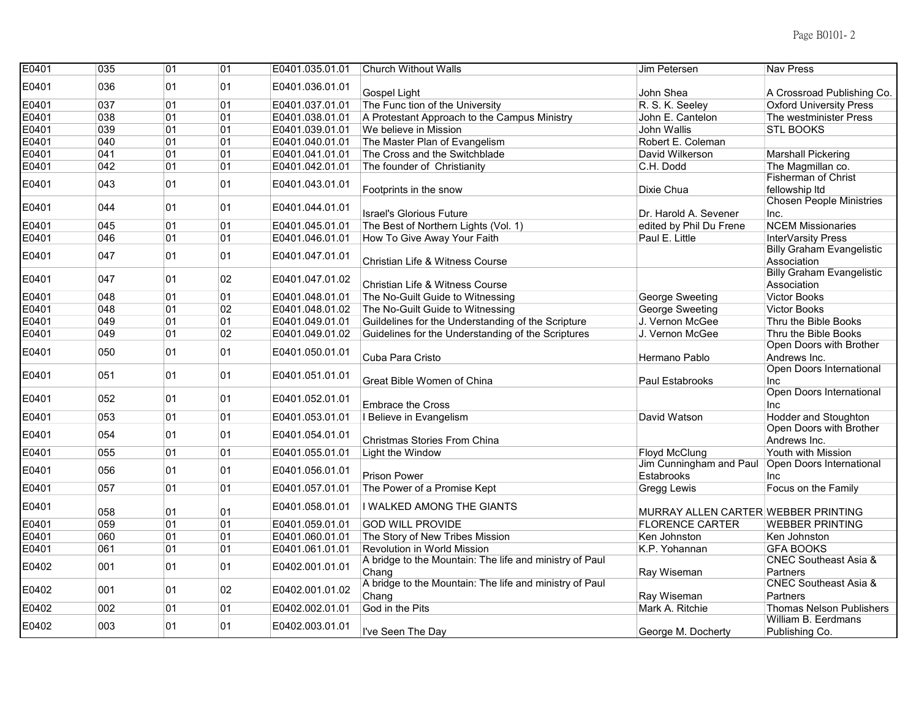| E0401 | 035 | 01 | 01 | E0401.035.01.01 | <b>Church Without Walls</b>                             | Jim Petersen                        | <b>Nav Press</b>                 |
|-------|-----|----|----|-----------------|---------------------------------------------------------|-------------------------------------|----------------------------------|
| E0401 | 036 | 01 | 01 | E0401.036.01.01 |                                                         |                                     |                                  |
|       |     |    |    |                 | Gospel Light                                            | John Shea                           | A Crossroad Publishing Co.       |
| E0401 | 037 | 01 | 01 | E0401.037.01.01 | The Func tion of the University                         | R. S. K. Seeley                     | <b>Oxford University Press</b>   |
| E0401 | 038 | 01 | 01 | E0401.038.01.01 | A Protestant Approach to the Campus Ministry            | John E. Cantelon                    | The westminister Press           |
| E0401 | 039 | 01 | 01 | E0401.039.01.01 | We believe in Mission                                   | <b>John Wallis</b>                  | <b>STL BOOKS</b>                 |
| E0401 | 040 | 01 | 01 | E0401.040.01.01 | The Master Plan of Evangelism                           | Robert E. Coleman                   |                                  |
| E0401 | 041 | 01 | 01 | E0401.041.01.01 | The Cross and the Switchblade                           | David Wilkerson                     | <b>Marshall Pickering</b>        |
| E0401 | 042 | 01 | 01 | E0401.042.01.01 | The founder of Christianity                             | C.H. Dodd                           | The Magmillan co.                |
| E0401 | 043 | 01 | 01 | E0401.043.01.01 |                                                         |                                     | <b>Fisherman of Christ</b>       |
|       |     |    |    |                 | Footprints in the snow                                  | Dixie Chua                          | fellowship Itd                   |
|       | 044 | 01 | 01 |                 |                                                         |                                     | <b>Chosen People Ministries</b>  |
| E0401 |     |    |    | E0401.044.01.01 | <b>Israel's Glorious Future</b>                         | Dr. Harold A. Sevener               | Inc.                             |
| E0401 | 045 | 01 | 01 | E0401.045.01.01 | The Best of Northern Lights (Vol. 1)                    | edited by Phil Du Frene             | <b>NCEM Missionaries</b>         |
| E0401 | 046 | 01 | 01 | E0401.046.01.01 | How To Give Away Your Faith                             | Paul E. Little                      | InterVarsity Press               |
|       |     | 01 | 01 |                 |                                                         |                                     | <b>Billy Graham Evangelistic</b> |
| E0401 | 047 |    |    | E0401.047.01.01 | Christian Life & Witness Course                         |                                     | Association                      |
|       |     |    | 02 |                 |                                                         |                                     | <b>Billy Graham Evangelistic</b> |
| E0401 | 047 | 01 |    | E0401.047.01.02 | Christian Life & Witness Course                         |                                     | Association                      |
| E0401 | 048 | 01 | 01 | E0401.048.01.01 | The No-Guilt Guide to Witnessing                        | George Sweeting                     | <b>Victor Books</b>              |
| E0401 | 048 | 01 | 02 | E0401.048.01.02 | The No-Guilt Guide to Witnessing                        | George Sweeting                     | <b>Victor Books</b>              |
| E0401 | 049 | 01 | 01 | E0401.049.01.01 | Guildelines for the Understanding of the Scripture      | J. Vernon McGee                     | Thru the Bible Books             |
| E0401 | 049 | 01 | 02 | E0401.049.01.02 | Guidelines for the Understanding of the Scriptures      | J. Vernon McGee                     | Thru the Bible Books             |
|       |     |    | 01 |                 |                                                         |                                     | Open Doors with Brother          |
| E0401 | 050 | 01 |    | E0401.050.01.01 | Cuba Para Cristo                                        | Hermano Pablo                       | Andrews Inc.                     |
|       | 051 | 01 | 01 |                 |                                                         |                                     | Open Doors International         |
| E0401 |     |    |    | E0401.051.01.01 | Great Bible Women of China                              | Paul Estabrooks                     | Inc                              |
| E0401 | 052 | 01 | 01 | E0401.052.01.01 |                                                         |                                     | Open Doors International         |
|       |     |    |    |                 | <b>Embrace the Cross</b>                                |                                     | Inc                              |
| E0401 | 053 | 01 | 01 | E0401.053.01.01 | I Believe in Evangelism                                 | David Watson                        | <b>Hodder and Stoughton</b>      |
| E0401 | 054 | 01 | 01 | E0401.054.01.01 |                                                         |                                     | Open Doors with Brother          |
|       |     |    |    |                 | Christmas Stories From China                            |                                     | Andrews Inc.                     |
| E0401 | 055 | 01 | 01 | E0401.055.01.01 | Light the Window                                        | <b>Floyd McClung</b>                | Youth with Mission               |
| E0401 | 056 | 01 | 01 | E0401.056.01.01 |                                                         | Jim Cunningham and Paul             | Open Doors International         |
|       |     |    |    |                 | <b>Prison Power</b>                                     | Estabrooks                          | Inc                              |
| E0401 | 057 | 01 | 01 | E0401.057.01.01 | The Power of a Promise Kept                             | Gregg Lewis                         | Focus on the Family              |
| E0401 |     |    |    | E0401.058.01.01 | I WALKED AMONG THE GIANTS                               |                                     |                                  |
|       | 058 | 01 | 01 |                 |                                                         | MURRAY ALLEN CARTER WEBBER PRINTING |                                  |
| E0401 | 059 | 01 | 01 | E0401.059.01.01 | <b>GOD WILL PROVIDE</b>                                 | <b>FLORENCE CARTER</b>              | <b>WEBBER PRINTING</b>           |
| E0401 | 060 | 01 | 01 | E0401.060.01.01 | The Story of New Tribes Mission                         | Ken Johnston                        | Ken Johnston                     |
| E0401 | 061 | 01 | 01 | E0401.061.01.01 | Revolution in World Mission                             | K.P. Yohannan                       | <b>GFA BOOKS</b>                 |
| E0402 | 001 | 01 | 01 | E0402.001.01.01 | A bridge to the Mountain: The life and ministry of Paul |                                     | <b>CNEC Southeast Asia &amp;</b> |
|       |     |    |    |                 | Chang                                                   | Ray Wiseman                         | Partners                         |
| E0402 | 001 | 01 | 02 | E0402.001.01.02 | A bridge to the Mountain: The life and ministry of Paul |                                     | <b>CNEC Southeast Asia &amp;</b> |
|       |     |    |    |                 | Chang                                                   | Ray Wiseman                         | Partners                         |
| E0402 | 002 | 01 | 01 | E0402.002.01.01 | God in the Pits                                         | Mark A. Ritchie                     | <b>Thomas Nelson Publishers</b>  |
| E0402 | 003 | 01 | 01 | E0402.003.01.01 |                                                         |                                     | William B. Eerdmans              |
|       |     |    |    |                 | I've Seen The Day                                       | George M. Docherty                  | Publishing Co.                   |